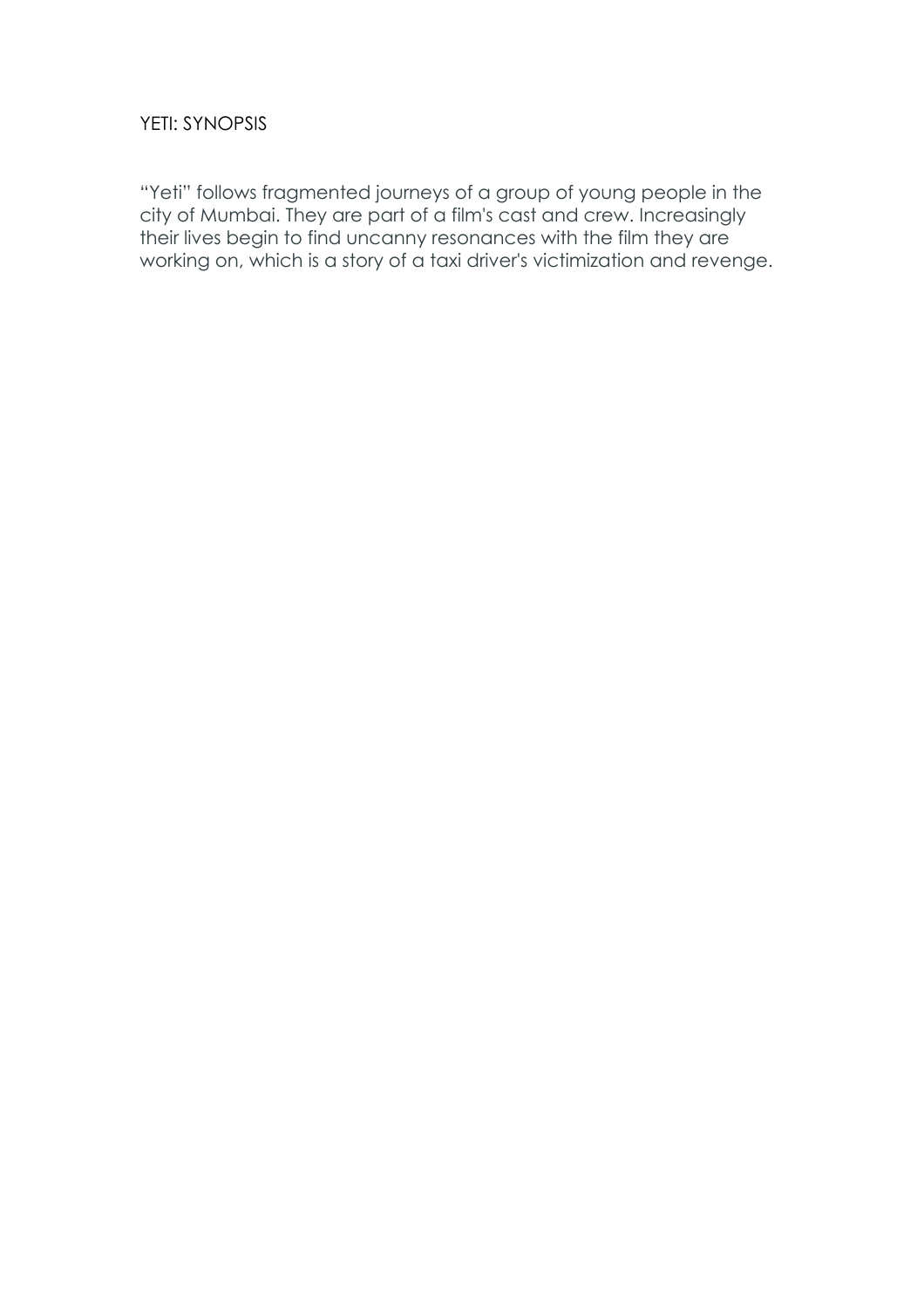# YETI: SYNOPSIS

"Yeti" follows fragmented journeys of a group of young people in the city of Mumbai. They are part of a film's cast and crew. Increasingly their lives begin to find uncanny resonances with the film they are working on, which is a story of a taxi driver's victimization and revenge.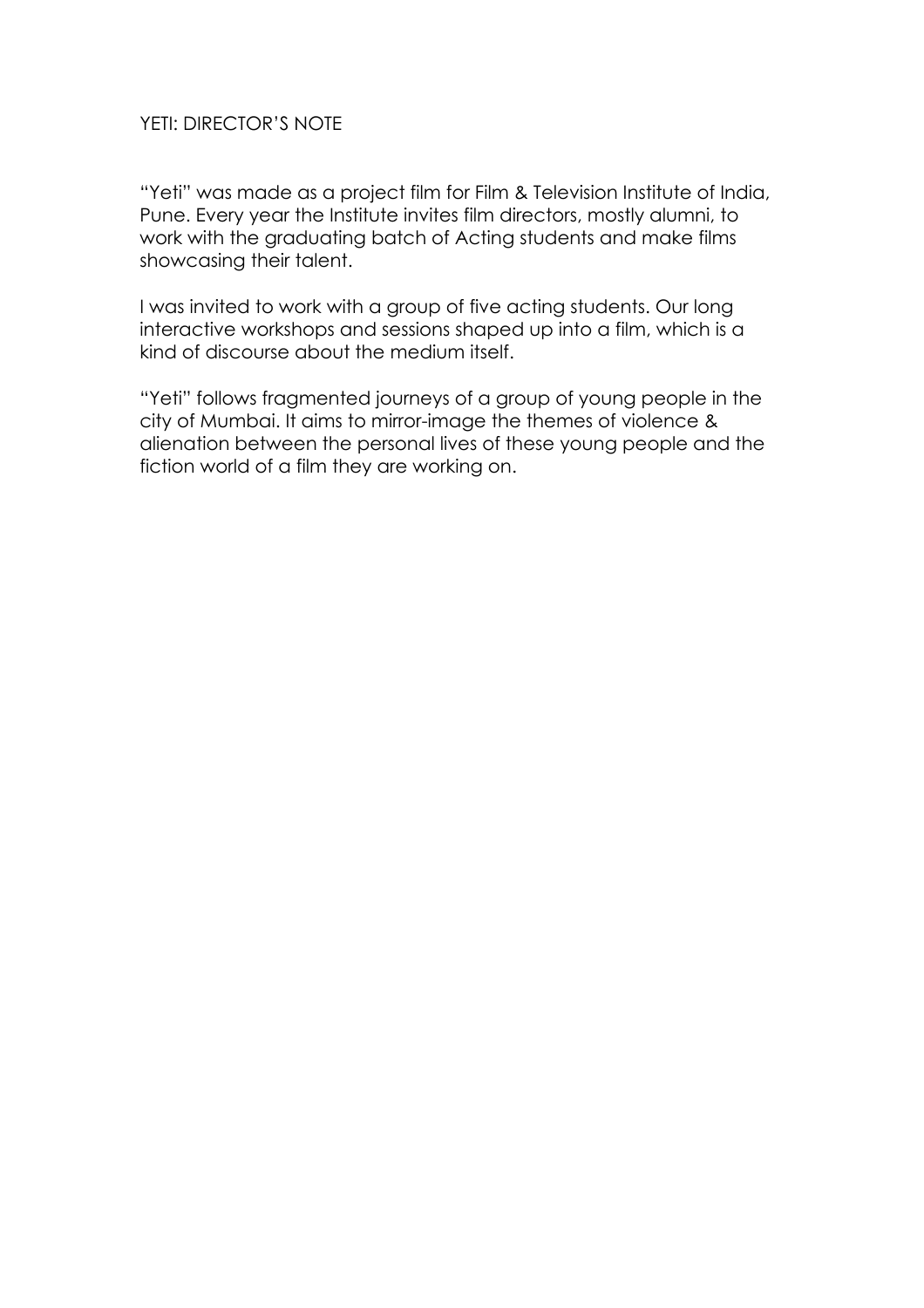### YETI: DIRECTOR'S NOTE

"Yeti" was made as a project film for Film & Television Institute of India, Pune. Every year the Institute invites film directors, mostly alumni, to work with the graduating batch of Acting students and make films showcasing their talent.

I was invited to work with a group of five acting students. Our long interactive workshops and sessions shaped up into a film, which is a kind of discourse about the medium itself.

"Yeti" follows fragmented journeys of a group of young people in the city of Mumbai. It aims to mirror-image the themes of violence & alienation between the personal lives of these young people and the fiction world of a film they are working on.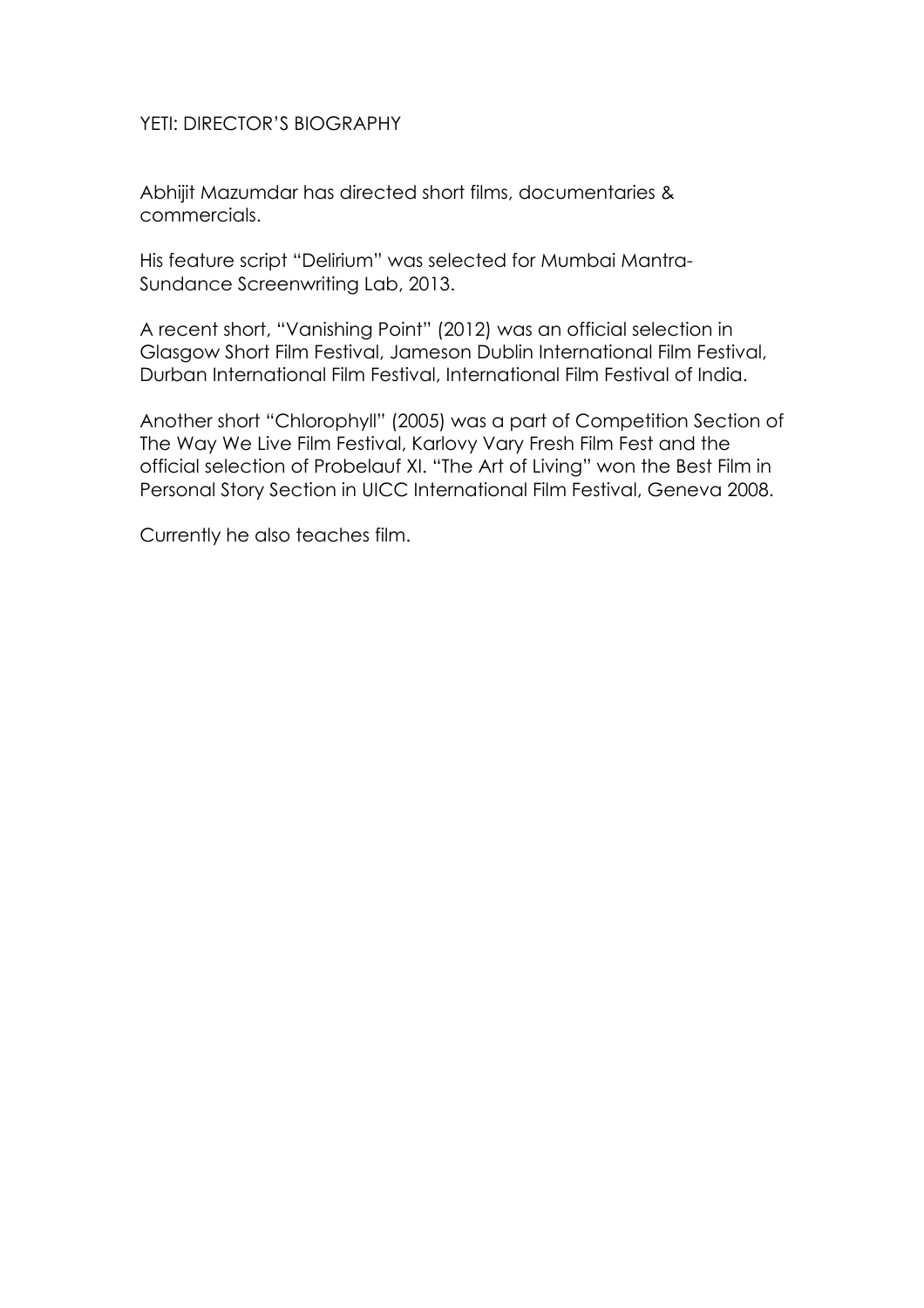### YETI: DIRECTOR'S BIOGRAPHY

Abhijit Mazumdar has directed short films, documentaries & commercials.

His feature script "Delirium" was selected for Mumbai Mantra-Sundance Screenwriting Lab, 2013.

A recent short, "Vanishing Point" (2012) was an official selection in Glasgow Short Film Festival, Jameson Dublin International Film Festival, Durban International Film Festival, International Film Festival of India.

Another short "Chlorophyll" (2005) was a part of Competition Section of The Way We Live Film Festival, Karlovy Vary Fresh Film Fest and the official selection of Probelauf XI. "The Art of Living" won the Best Film in Personal Story Section in UICC International Film Festival, Geneva 2008.

Currently he also teaches film.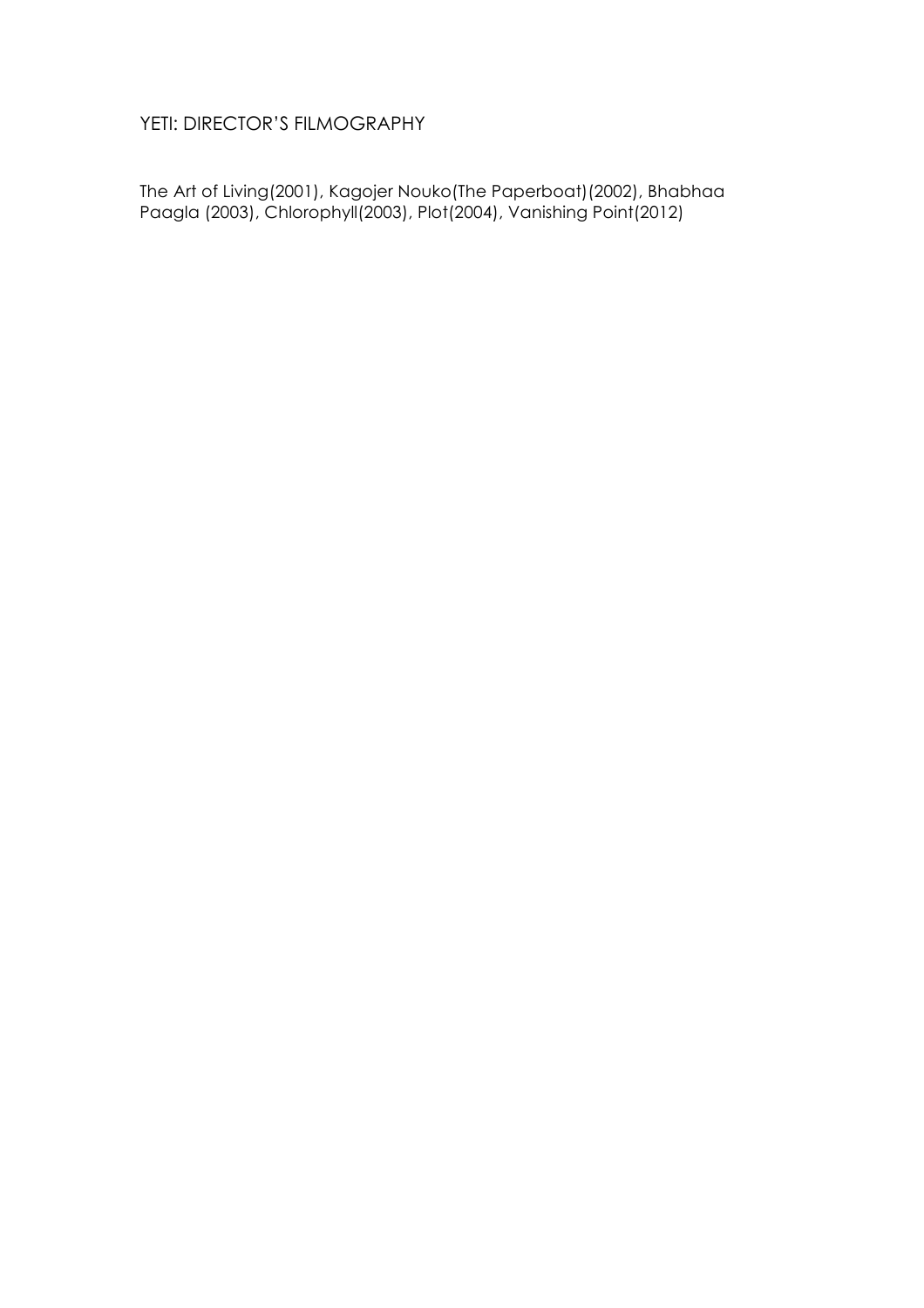# YETI: DIRECTOR'S FILMOGRAPHY

The Art of Living(2001), Kagojer Nouko(The Paperboat)(2002), Bhabhaa Paagla (2003), Chlorophyll(2003), Plot(2004), Vanishing Point(2012)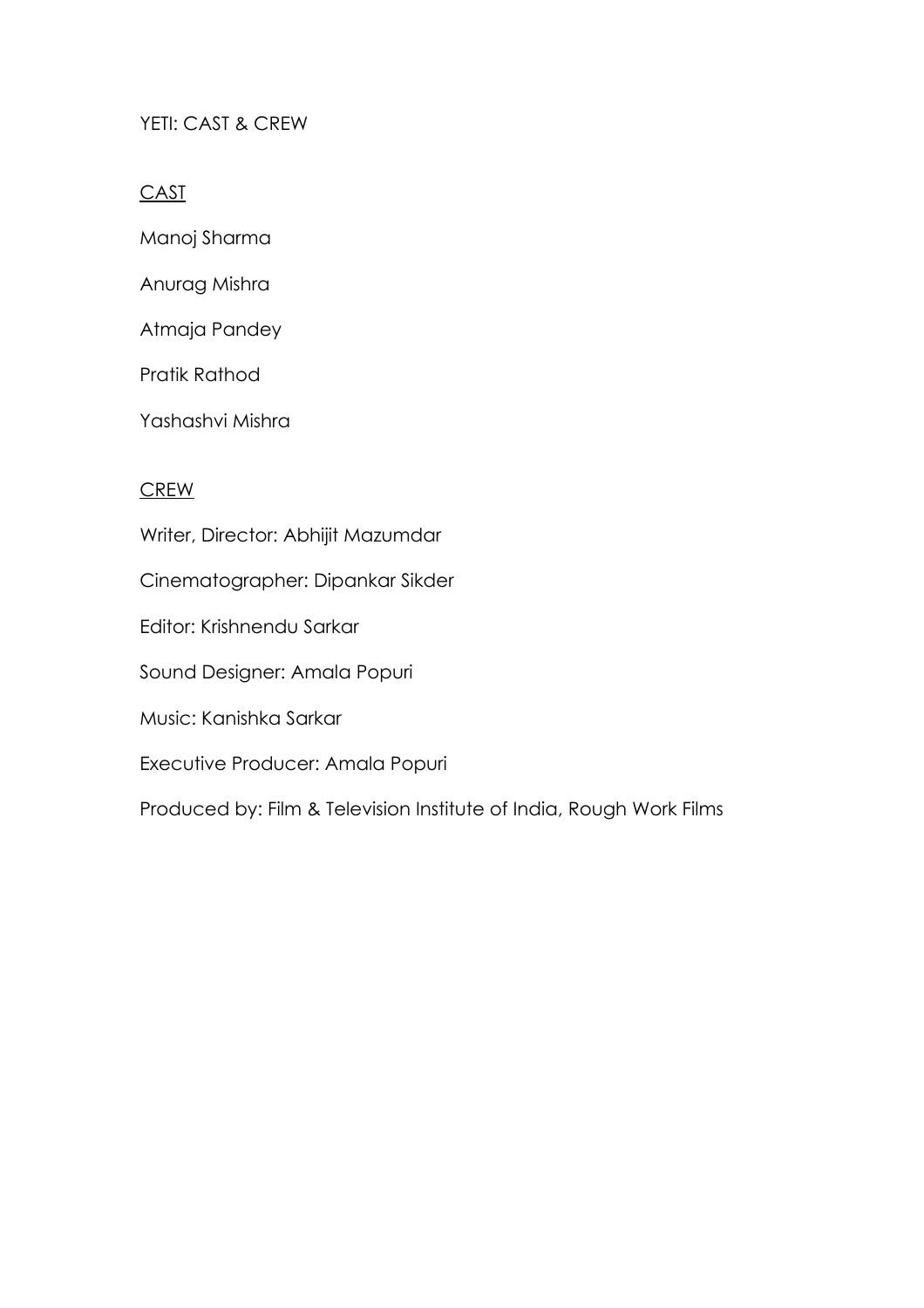## YETI: CAST & CREW

## **CAST**

- Manoj Sharma
- Anurag Mishra
- Atmaja Pandey
- Pratik Rathod
- Yashashvi Mishra

### CREW

Writer, Director: Abhijit Mazumdar

- Cinematographer: Dipankar Sikder
- Editor: Krishnendu Sarkar
- Sound Designer: Amala Popuri
- Music: Kanishka Sarkar
- Executive Producer: Amala Popuri

Produced by: Film & Television Institute of India, Rough Work Films